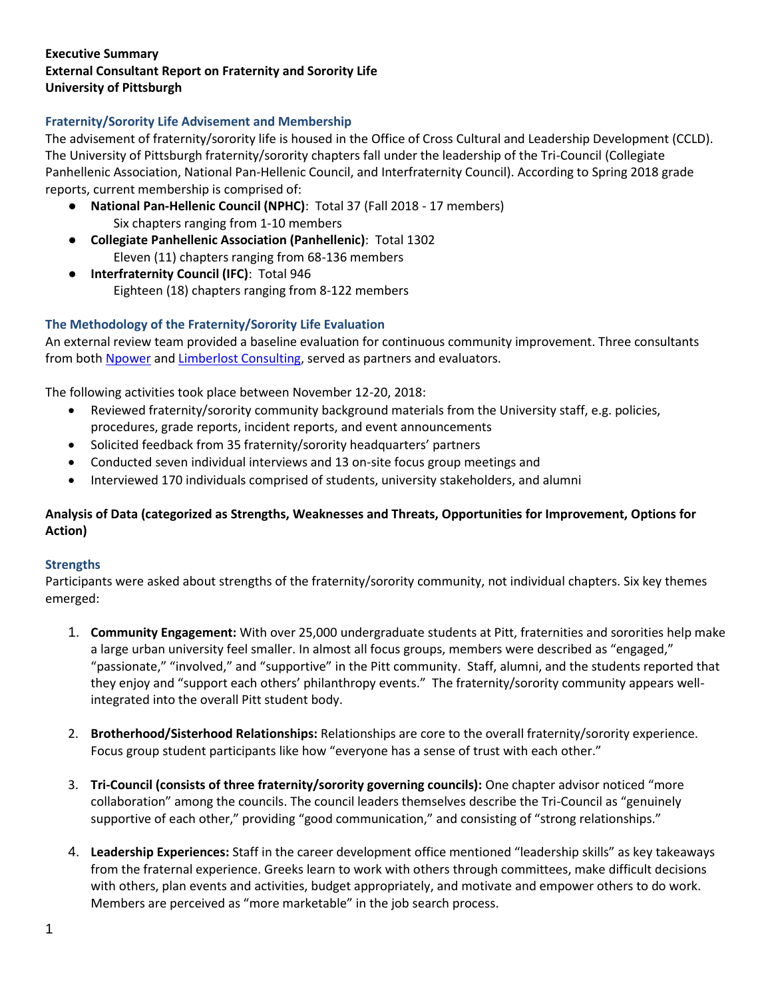### **Executive Summary External Consultant Report on Fraternity and Sorority Life University of Pittsburgh**

# **Fraternity/Sorority Life Advisement and Membership**

The advisement of fraternity/sorority life is housed in the Office of Cross Cultural and Leadership Development (CCLD). The University of Pittsburgh fraternity/sorority chapters fall under the leadership of the Tri-Council (Collegiate Panhellenic Association, National Pan-Hellenic Council, and Interfraternity Council). According to Spring 2018 grade reports, current membership is comprised of:

- **National Pan-Hellenic Council (NPHC)**: Total 37 (Fall 2018 17 members) Six chapters ranging from 1-10 members
- **Collegiate Panhellenic Association (Panhellenic)**: Total 1302 Eleven (11) chapters ranging from 68-136 members
- **Interfraternity Council (IFC)**: Total 946 Eighteen (18) chapters ranging from 8-122 members

# **The Methodology of the Fraternity/Sorority Life Evaluation**

An external review team provided a baseline evaluation for continuous community improvement. Three consultants from both [Npower](http://npoweryourself.com/) an[d Limberlost Consulting,](http://limberlostconsulting.com/) served as partners and evaluators.

The following activities took place between November 12-20, 2018:

- Reviewed fraternity/sorority community background materials from the University staff, e.g. policies, procedures, grade reports, incident reports, and event announcements
- Solicited feedback from 35 fraternity/sorority headquarters' partners
- Conducted seven individual interviews and 13 on-site focus group meetings and
- Interviewed 170 individuals comprised of students, university stakeholders, and alumni

# **Analysis of Data (categorized as Strengths, Weaknesses and Threats, Opportunities for Improvement, Options for Action)**

# **Strengths**

Participants were asked about strengths of the fraternity/sorority community, not individual chapters. Six key themes emerged:

- 1. **Community Engagement:** With over 25,000 undergraduate students at Pitt, fraternities and sororities help make a large urban university feel smaller. In almost all focus groups, members were described as "engaged," "passionate," "involved," and "supportive" in the Pitt community. Staff, alumni, and the students reported that they enjoy and "support each others' philanthropy events." The fraternity/sorority community appears wellintegrated into the overall Pitt student body.
- 2. **Brotherhood/Sisterhood Relationships:** Relationships are core to the overall fraternity/sorority experience. Focus group student participants like how "everyone has a sense of trust with each other."
- 3. **Tri-Council (consists of three fraternity/sorority governing councils):** One chapter advisor noticed "more collaboration" among the councils. The council leaders themselves describe the Tri-Council as "genuinely supportive of each other," providing "good communication," and consisting of "strong relationships."
- 4. **Leadership Experiences:** Staff in the career development office mentioned "leadership skills" as key takeaways from the fraternal experience. Greeks learn to work with others through committees, make difficult decisions with others, plan events and activities, budget appropriately, and motivate and empower others to do work. Members are perceived as "more marketable" in the job search process.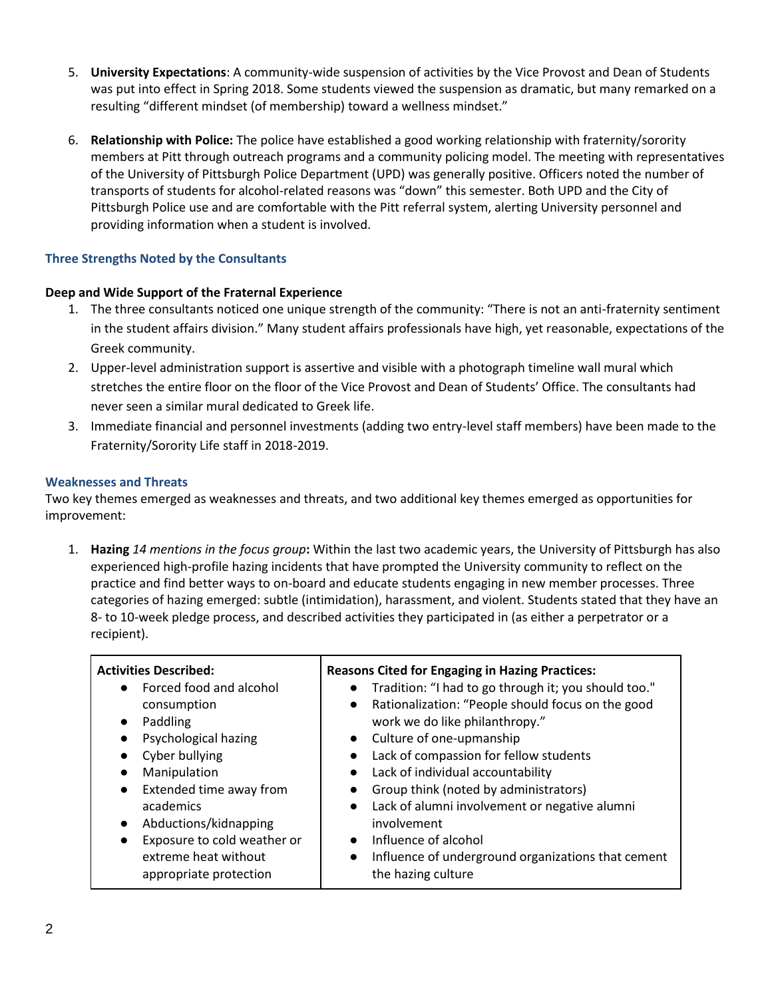- 5. **University Expectations**: A community-wide suspension of activities by the Vice Provost and Dean of Students was put into effect in Spring 2018. Some students viewed the suspension as dramatic, but many remarked on a resulting "different mindset (of membership) toward a wellness mindset."
- 6. **Relationship with Police:** The police have established a good working relationship with fraternity/sorority members at Pitt through outreach programs and a community policing model. The meeting with representatives of the University of Pittsburgh Police Department (UPD) was generally positive. Officers noted the number of transports of students for alcohol-related reasons was "down" this semester. Both UPD and the City of Pittsburgh Police use and are comfortable with the Pitt referral system, alerting University personnel and providing information when a student is involved.

# **Three Strengths Noted by the Consultants**

### **Deep and Wide Support of the Fraternal Experience**

- 1. The three consultants noticed one unique strength of the community: "There is not an anti-fraternity sentiment in the student affairs division." Many student affairs professionals have high, yet reasonable, expectations of the Greek community.
- 2. Upper-level administration support is assertive and visible with a photograph timeline wall mural which stretches the entire floor on the floor of the Vice Provost and Dean of Students' Office. The consultants had never seen a similar mural dedicated to Greek life.
- 3. Immediate financial and personnel investments (adding two entry-level staff members) have been made to the Fraternity/Sorority Life staff in 2018-2019.

#### **Weaknesses and Threats**

Two key themes emerged as weaknesses and threats, and two additional key themes emerged as opportunities for improvement:

1. **Hazing** *14 mentions in the focus group***:** Within the last two academic years, the University of Pittsburgh has also experienced high-profile hazing incidents that have prompted the University community to reflect on the practice and find better ways to on-board and educate students engaging in new member processes. Three categories of hazing emerged: subtle (intimidation), harassment, and violent. Students stated that they have an 8- to 10-week pledge process, and described activities they participated in (as either a perpetrator or a recipient).

| <b>Activities Described:</b>             | <b>Reasons Cited for Engaging in Hazing Practices:</b>            |
|------------------------------------------|-------------------------------------------------------------------|
| Forced food and alcohol<br>$\bullet$     | Tradition: "I had to go through it; you should too."<br>$\bullet$ |
| consumption                              | Rationalization: "People should focus on the good<br>$\bullet$    |
| Paddling<br>$\bullet$                    | work we do like philanthropy."                                    |
| Psychological hazing<br>$\bullet$        | • Culture of one-upmanship                                        |
| Cyber bullying                           | Lack of compassion for fellow students<br>$\bullet$               |
| Manipulation<br>$\bullet$                | Lack of individual accountability<br>$\bullet$                    |
| Extended time away from<br>$\bullet$     | Group think (noted by administrators)<br>$\bullet$                |
| academics                                | Lack of alumni involvement or negative alumni<br>$\bullet$        |
| Abductions/kidnapping<br>$\bullet$       | involvement                                                       |
| Exposure to cold weather or<br>$\bullet$ | Influence of alcohol<br>$\bullet$                                 |
| extreme heat without                     | Influence of underground organizations that cement<br>$\bullet$   |
| appropriate protection                   | the hazing culture                                                |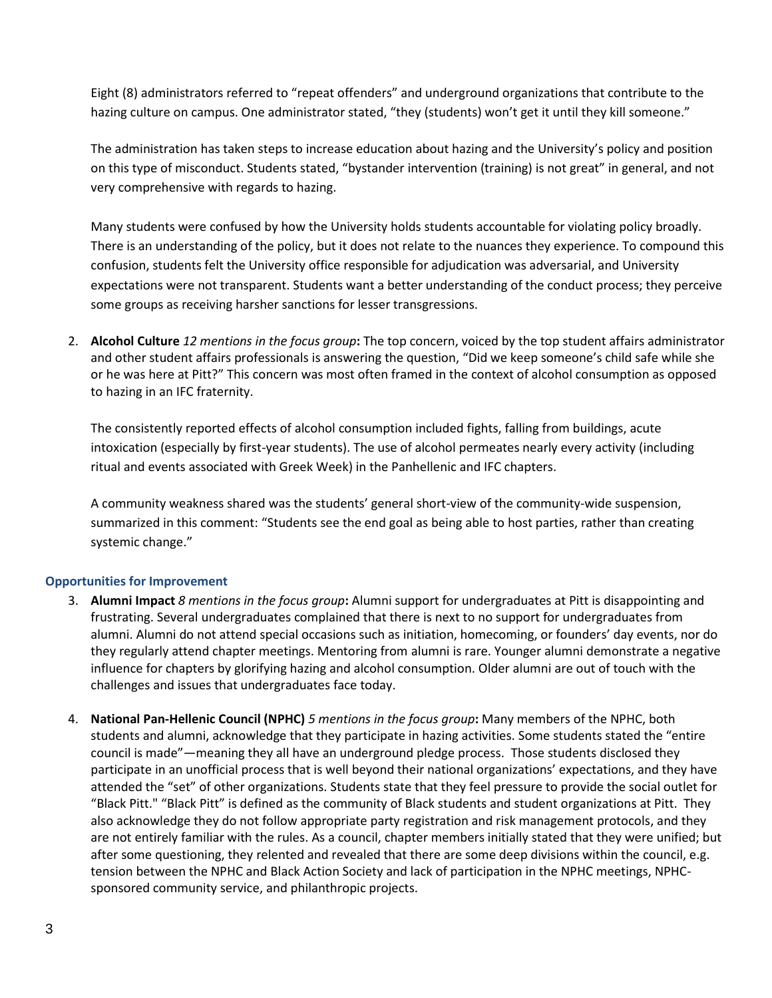Eight (8) administrators referred to "repeat offenders" and underground organizations that contribute to the hazing culture on campus. One administrator stated, "they (students) won't get it until they kill someone."

The administration has taken steps to increase education about hazing and the University's policy and position on this type of misconduct. Students stated, "bystander intervention (training) is not great" in general, and not very comprehensive with regards to hazing.

Many students were confused by how the University holds students accountable for violating policy broadly. There is an understanding of the policy, but it does not relate to the nuances they experience. To compound this confusion, students felt the University office responsible for adjudication was adversarial, and University expectations were not transparent. Students want a better understanding of the conduct process; they perceive some groups as receiving harsher sanctions for lesser transgressions.

2. **Alcohol Culture** *12 mentions in the focus group***:** The top concern, voiced by the top student affairs administrator and other student affairs professionals is answering the question, "Did we keep someone's child safe while she or he was here at Pitt?" This concern was most often framed in the context of alcohol consumption as opposed to hazing in an IFC fraternity.

The consistently reported effects of alcohol consumption included fights, falling from buildings, acute intoxication (especially by first-year students). The use of alcohol permeates nearly every activity (including ritual and events associated with Greek Week) in the Panhellenic and IFC chapters.

A community weakness shared was the students' general short-view of the community-wide suspension, summarized in this comment: "Students see the end goal as being able to host parties, rather than creating systemic change."

# **Opportunities for Improvement**

- 3. **Alumni Impact** *8 mentions in the focus group***:** Alumni support for undergraduates at Pitt is disappointing and frustrating. Several undergraduates complained that there is next to no support for undergraduates from alumni. Alumni do not attend special occasions such as initiation, homecoming, or founders' day events, nor do they regularly attend chapter meetings. Mentoring from alumni is rare. Younger alumni demonstrate a negative influence for chapters by glorifying hazing and alcohol consumption. Older alumni are out of touch with the challenges and issues that undergraduates face today.
- 4. **National Pan-Hellenic Council (NPHC)** *5 mentions in the focus group***:** Many members of the NPHC, both students and alumni, acknowledge that they participate in hazing activities. Some students stated the "entire council is made"—meaning they all have an underground pledge process. Those students disclosed they participate in an unofficial process that is well beyond their national organizations' expectations, and they have attended the "set" of other organizations. Students state that they feel pressure to provide the social outlet for "Black Pitt." "Black Pitt" is defined as the community of Black students and student organizations at Pitt. They also acknowledge they do not follow appropriate party registration and risk management protocols, and they are not entirely familiar with the rules. As a council, chapter members initially stated that they were unified; but after some questioning, they relented and revealed that there are some deep divisions within the council, e.g. tension between the NPHC and Black Action Society and lack of participation in the NPHC meetings, NPHCsponsored community service, and philanthropic projects.